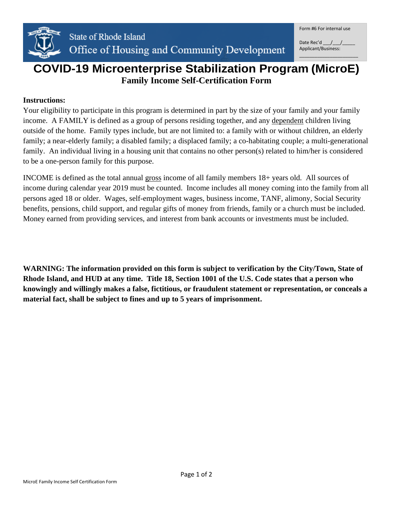

# **COVID-19 Microenterprise Stabilization Program (MicroE) Family Income Self-Certification Form**

#### **Instructions:**

Your eligibility to participate in this program is determined in part by the size of your family and your family income. A FAMILY is defined as a group of persons residing together, and any dependent children living outside of the home. Family types include, but are not limited to: a family with or without children, an elderly family; a near-elderly family; a disabled family; a displaced family; a co-habitating couple; a multi-generational family. An individual living in a housing unit that contains no other person(s) related to him/her is considered to be a one-person family for this purpose.

INCOME is defined as the total annual gross income of all family members 18+ years old. All sources of income during calendar year 2019 must be counted. Income includes all money coming into the family from all persons aged 18 or older. Wages, self-employment wages, business income, TANF, alimony, Social Security benefits, pensions, child support, and regular gifts of money from friends, family or a church must be included. Money earned from providing services, and interest from bank accounts or investments must be included.

**WARNING: The information provided on this form is subject to verification by the City/Town, State of Rhode Island, and HUD at any time. Title 18, Section 1001 of the U.S. Code states that a person who knowingly and willingly makes a false, fictitious, or fraudulent statement or representation, or conceals a material fact, shall be subject to fines and up to 5 years of imprisonment.**